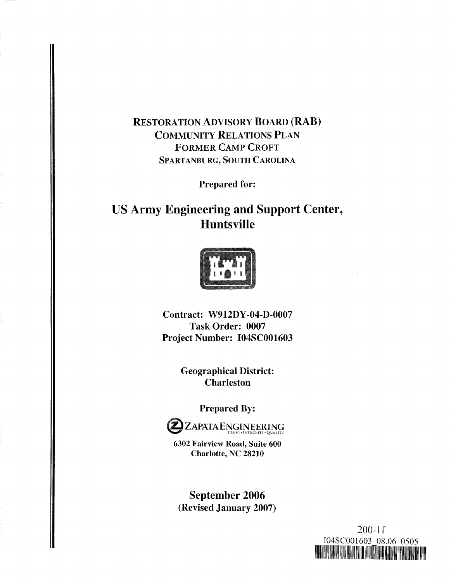# RESTORATION ADVISORY BOARD (RAB) COMMUNITY RELATIONS PLAN FORMER CAMP CROFT SPARTANBURG, SOUTH CAROLINA

Prepared for:

# **US Army Engineering and Support Center, Huntsville**



Contract: W912DY-04-D-0007 Task Order: 0007 Project Number: I04SC001603

> Geographical District: Charleston

> > Prepared By:



**6302 Fairview Road, Suite 600 Charlotte, NC 28210** 

**September 2006**  (Revised January 2007)

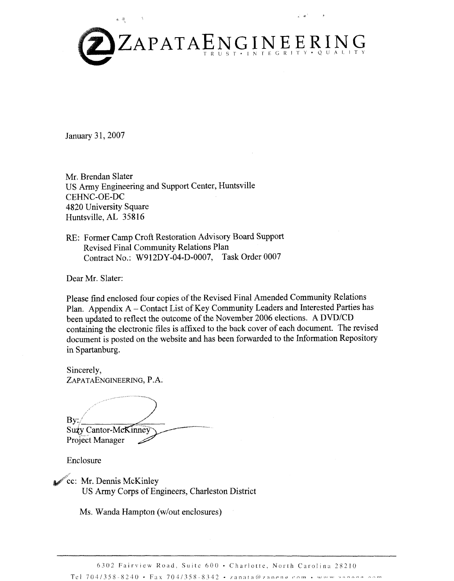

January 31,2007

Mr. Brendan Slater US Army Engineering and Support Center, Huntsville CEHNC-OE-DC 4820 University Square Huntsville, AL 35816

RE: Former Camp Croft Restoration Advisory Board Support Revised Final Community Relations Plan Contract No.: W912DY-04-D-0007, Task Order 0007

Dear Mr. Slater:

Please find enclosed four copies of the Revised Final Amended Community Relations Plan. Appendix A - Contact List of Key Community Leaders and Interested Parties has been updated to reflect the outcome of the November 2006 elections. A DVD/CD containing the electronic files is affixed to the back cover of each document. The revised document is posted on the website and has been forwarded to the Information Repository in Spartanburg.

Sincerely, ZAPATAENGINEERING, P.A.

By: Suzy Cantor-McKinney Project Manager

Enclosure

cc: Mr. Dennis McKinley US Army Corps of Engineers, Charleston District

Ms. Wanda Hampton (w/out enclosures)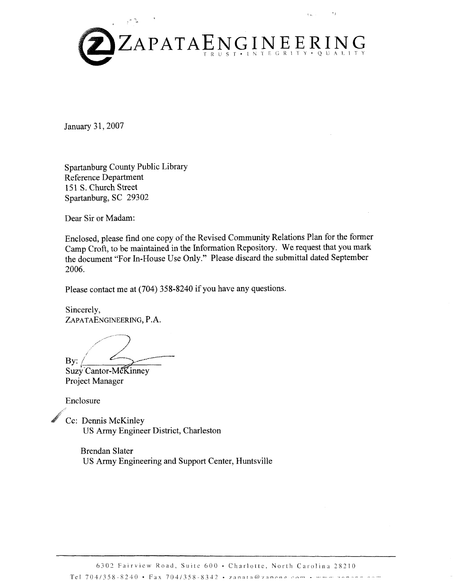

January 31, 2007

Spartanburg County Public Library Reference Department 151 S. Church Street Spartanburg, SC 29302

Dear Sir or Madam:

Enclosed, please find one copy of the Revised Community Relations Plan for the former Camp Croft, to be maintained in the Information Repository. We request that you mark the document "For In-House Use Only." Please discard the submittal dated September 2006.

Please contact me at (704) 358-8240 if you have any questions.

Sincerely, ZAPATAENGINEERING, P.A.

 $\mathbf{By:}$ 

Suzy Cantor-McKinney Project Manager

Enclosure

Cc: Dennis McKinley US Army Engineer District, Charleston

> Brendan Slater US Army Engineering and Support Center, Huntsville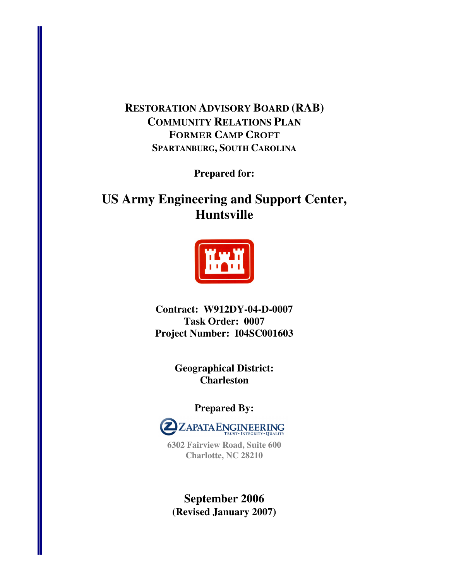# **RESTORATION ADVISORY BOARD (RAB) COMMUNITY RELATIONS PLAN** FORMER CAMP CROFT **SPARTANBURG, SOUTH CAROLINA**

**Prepared for:** 

# **US Army Engineering and Support Center, Huntsville**



**Contract: W912DY-04-D-0007 Task Order: 0007 Project Number: I04SC001603** 

> **Geographical District: Charleston**

> > **Prepared By:**



**6302 Fairview Road, Suite 600 Charlotte, NC 28210** 

**September 2006 (Revised January 2007)**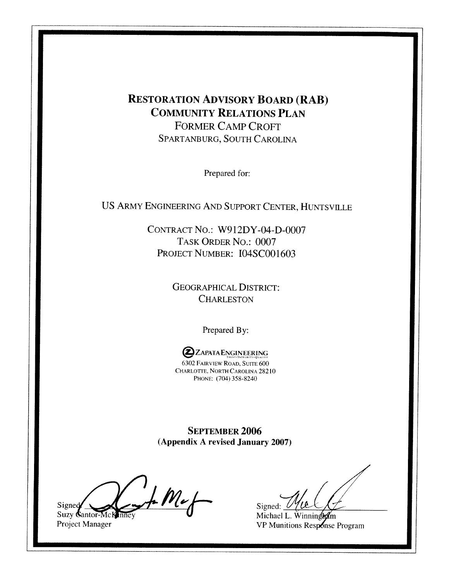# **RESTORATION ADVISORY BOARD (RAB) COMMUNITY RELATIONS PLAN FORMER CAMP CROFT** SPARTANBURG, SOUTH CAROLINA

Prepared for:

US ARMY ENGINEERING AND SUPPORT CENTER, HUNTSVILLE

CONTRACT NO.: W912DY-04-D-0007 TASK ORDER NO.: 0007 PROJECT NUMBER: I04SC001603

> **GEOGRAPHICAL DISTRICT: CHARLESTON**

> > Prepared By:

**2**ZAPATA ENGINEERING 6302 FAIRVIEW ROAD, SUITE 600 CHARLOTTE, NORTH CAROLINA 28210 PHONE: (704) 358-8240

**SEPTEMBER 2006** (Appendix A revised January 2007)

 $M_{e}$ Signed Suzy Cantor-McK

Project Manager

Signed:  $\theta$ 

Michael L. Winningham VP Munitions Response Program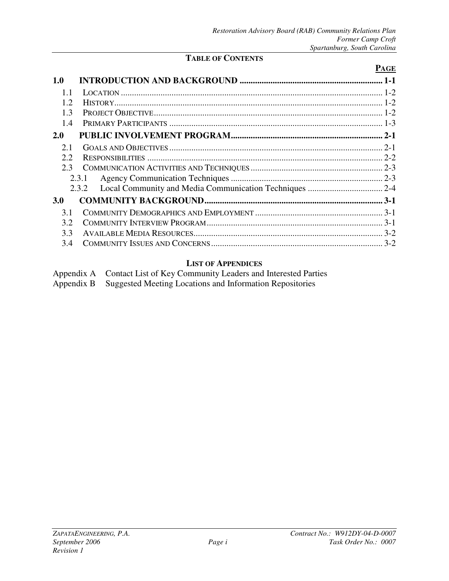### **TABLE OF CONTENTS**

# **PAGE 1.0 INTRODUCTION AND BACKGROUND ................................................................. 1-1** 1.1 LOCATION ....................................................................................................................... 1-2 1.2 HISTORY.......................................................................................................................... 1-2 1.3 PROJECT OBJECTIVE........................................................................................................ 1-2 1.4 PRIMARY PARTICIPANTS ................................................................................................. 1-3 **2.0 PUBLIC INVOLVEMENT PROGRAM..................................................................... 2-1** 2.1 GOALS AND OBJECTIVES ................................................................................................. 2-1 2.2 RESPONSIBILITIES ........................................................................................................... 2-2 2.3 COMMUNICATION ACTIVITIES AND TECHNIQUES ............................................................ 2-3 2.3.1 Agency Communication Techniques ..................................................................... 2-3 2.3.2 Local Community and Media Communication Techniques .................................. 2-4 **3.0 COMMUNITY BACKGROUND................................................................................. 3-1** 3.1 COMMUNITY DEMOGRAPHICS AND EMPLOYMENT .......................................................... 3-1 3.2 COMMUNITY INTERVIEW PROGRAM................................................................................ 3-1 3.3 AVAILABLE MEDIA RESOURCES...................................................................................... 3-2 3.4 COMMUNITY ISSUES AND CONCERNS.............................................................................. 3-2

#### **LIST OF APPENDICES**

| Appendix A Contact List of Key Community Leaders and Interested Parties |
|-------------------------------------------------------------------------|
| Appendix B Suggested Meeting Locations and Information Repositories     |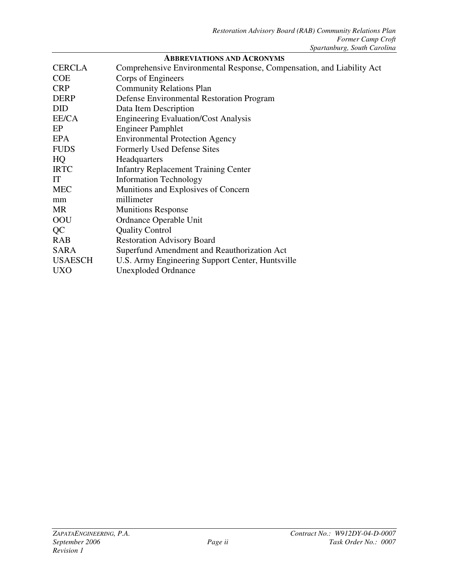| <b>CERCLA</b>  | Comprehensive Environmental Response, Compensation, and Liability Act |
|----------------|-----------------------------------------------------------------------|
| <b>COE</b>     | Corps of Engineers                                                    |
| <b>CRP</b>     | <b>Community Relations Plan</b>                                       |
| <b>DERP</b>    | Defense Environmental Restoration Program                             |
| <b>DID</b>     | Data Item Description                                                 |
| EE/CA          | <b>Engineering Evaluation/Cost Analysis</b>                           |
| EP             | <b>Engineer Pamphlet</b>                                              |
| <b>EPA</b>     | <b>Environmental Protection Agency</b>                                |
| <b>FUDS</b>    | Formerly Used Defense Sites                                           |
| HQ             | Headquarters                                                          |
| <b>IRTC</b>    | <b>Infantry Replacement Training Center</b>                           |
| IT             | <b>Information Technology</b>                                         |
| <b>MEC</b>     | Munitions and Explosives of Concern                                   |
| mm             | millimeter                                                            |
| <b>MR</b>      | <b>Munitions Response</b>                                             |
| OOU            | Ordnance Operable Unit                                                |
| QC             | <b>Quality Control</b>                                                |
| <b>RAB</b>     | <b>Restoration Advisory Board</b>                                     |
| <b>SARA</b>    | Superfund Amendment and Reauthorization Act                           |
| <b>USAESCH</b> | U.S. Army Engineering Support Center, Huntsville                      |
| <b>UXO</b>     | <b>Unexploded Ordnance</b>                                            |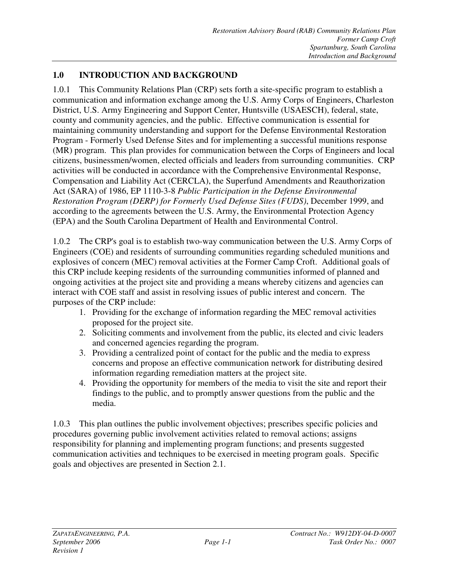# **1.0 INTRODUCTION AND BACKGROUND**

1.0.1 This Community Relations Plan (CRP) sets forth a site-specific program to establish a communication and information exchange among the U.S. Army Corps of Engineers, Charleston District, U.S. Army Engineering and Support Center, Huntsville (USAESCH), federal, state, county and community agencies, and the public. Effective communication is essential for maintaining community understanding and support for the Defense Environmental Restoration Program - Formerly Used Defense Sites and for implementing a successful munitions response (MR) program. This plan provides for communication between the Corps of Engineers and local citizens, businessmen/women, elected officials and leaders from surrounding communities. CRP activities will be conducted in accordance with the Comprehensive Environmental Response, Compensation and Liability Act (CERCLA), the Superfund Amendments and Reauthorization Act (SARA) of 1986, EP 1110-3-8 *Public Participation in the Defense Environmental Restoration Program (DERP) for Formerly Used Defense Sites (FUDS)*, December 1999, and according to the agreements between the U.S. Army, the Environmental Protection Agency (EPA) and the South Carolina Department of Health and Environmental Control.

1.0.2 The CRP's goal is to establish two-way communication between the U.S. Army Corps of Engineers (COE) and residents of surrounding communities regarding scheduled munitions and explosives of concern (MEC) removal activities at the Former Camp Croft. Additional goals of this CRP include keeping residents of the surrounding communities informed of planned and ongoing activities at the project site and providing a means whereby citizens and agencies can interact with COE staff and assist in resolving issues of public interest and concern. The purposes of the CRP include:

- 1. Providing for the exchange of information regarding the MEC removal activities proposed for the project site.
- 2. Soliciting comments and involvement from the public, its elected and civic leaders and concerned agencies regarding the program.
- 3. Providing a centralized point of contact for the public and the media to express concerns and propose an effective communication network for distributing desired information regarding remediation matters at the project site.
- 4. Providing the opportunity for members of the media to visit the site and report their findings to the public, and to promptly answer questions from the public and the media.

1.0.3 This plan outlines the public involvement objectives; prescribes specific policies and procedures governing public involvement activities related to removal actions; assigns responsibility for planning and implementing program functions; and presents suggested communication activities and techniques to be exercised in meeting program goals. Specific goals and objectives are presented in Section 2.1.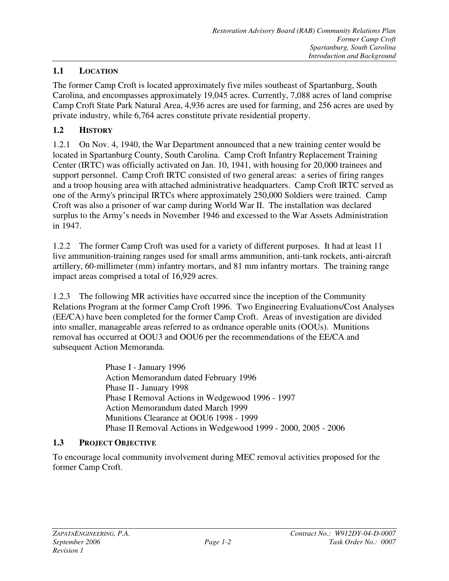### **1.1 LOCATION**

The former Camp Croft is located approximately five miles southeast of Spartanburg, South Carolina, and encompasses approximately 19,045 acres. Currently, 7,088 acres of land comprise Camp Croft State Park Natural Area, 4,936 acres are used for farming, and 256 acres are used by private industry, while 6,764 acres constitute private residential property.

#### **1.2 HISTORY**

1.2.1 On Nov. 4, 1940, the War Department announced that a new training center would be located in Spartanburg County, South Carolina. Camp Croft Infantry Replacement Training Center (IRTC) was officially activated on Jan. 10, 1941, with housing for 20,000 trainees and support personnel. Camp Croft IRTC consisted of two general areas: a series of firing ranges and a troop housing area with attached administrative headquarters. Camp Croft IRTC served as one of the Army's principal IRTCs where approximately 250,000 Soldiers were trained. Camp Croft was also a prisoner of war camp during World War II. The installation was declared surplus to the Army's needs in November 1946 and excessed to the War Assets Administration in 1947.

1.2.2 The former Camp Croft was used for a variety of different purposes. It had at least 11 live ammunition-training ranges used for small arms ammunition, anti-tank rockets, anti-aircraft artillery, 60-millimeter (mm) infantry mortars, and 81 mm infantry mortars. The training range impact areas comprised a total of 16,929 acres.

1.2.3 The following MR activities have occurred since the inception of the Community Relations Program at the former Camp Croft 1996. Two Engineering Evaluations/Cost Analyses (EE/CA) have been completed for the former Camp Croft. Areas of investigation are divided into smaller, manageable areas referred to as ordnance operable units (OOUs). Munitions removal has occurred at OOU3 and OOU6 per the recommendations of the EE/CA and subsequent Action Memoranda.

> Phase I - January 1996 Action Memorandum dated February 1996 Phase II - January 1998 Phase I Removal Actions in Wedgewood 1996 - 1997 Action Memorandum dated March 1999 Munitions Clearance at OOU6 1998 - 1999 Phase II Removal Actions in Wedgewood 1999 - 2000, 2005 - 2006

#### **1.3 PROJECT OBJECTIVE**

To encourage local community involvement during MEC removal activities proposed for the former Camp Croft.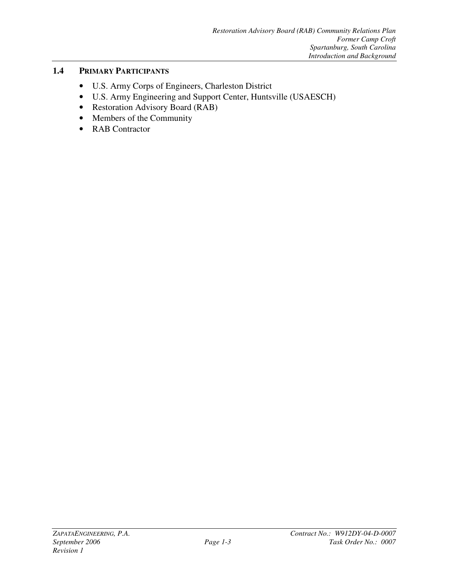# **1.4 PRIMARY PARTICIPANTS**

- U.S. Army Corps of Engineers, Charleston District
- U.S. Army Engineering and Support Center, Huntsville (USAESCH)
- Restoration Advisory Board (RAB)
- Members of the Community
- RAB Contractor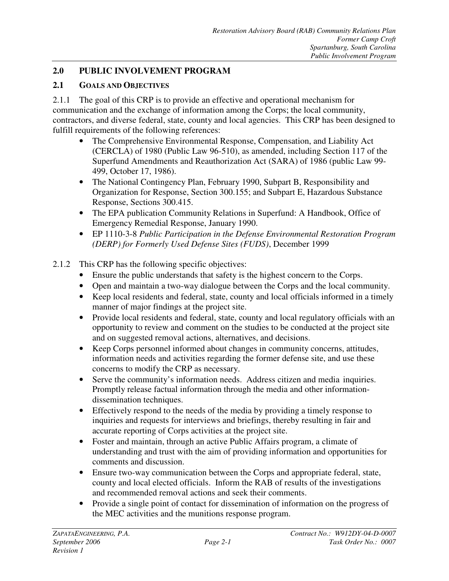# **2.0 PUBLIC INVOLVEMENT PROGRAM**

# **2.1 GOALS AND OBJECTIVES**

2.1.1 The goal of this CRP is to provide an effective and operational mechanism for communication and the exchange of information among the Corps; the local community, contractors, and diverse federal, state, county and local agencies. This CRP has been designed to fulfill requirements of the following references:

- The Comprehensive Environmental Response, Compensation, and Liability Act (CERCLA) of 1980 (Public Law 96-510), as amended, including Section 117 of the Superfund Amendments and Reauthorization Act (SARA) of 1986 (public Law 99- 499, October 17, 1986).
- The National Contingency Plan, February 1990, Subpart B, Responsibility and Organization for Response, Section 300.155; and Subpart E, Hazardous Substance Response, Sections 300.415.
- The EPA publication Community Relations in Superfund: A Handbook, Office of Emergency Remedial Response, January 1990.
- EP 1110-3-8 *Public Participation in the Defense Environmental Restoration Program (DERP) for Formerly Used Defense Sites (FUDS)*, December 1999
- 2.1.2 This CRP has the following specific objectives:
	- Ensure the public understands that safety is the highest concern to the Corps.
	- Open and maintain a two-way dialogue between the Corps and the local community.
	- Keep local residents and federal, state, county and local officials informed in a timely manner of major findings at the project site.
	- Provide local residents and federal, state, county and local regulatory officials with an opportunity to review and comment on the studies to be conducted at the project site and on suggested removal actions, alternatives, and decisions.
	- Keep Corps personnel informed about changes in community concerns, attitudes, information needs and activities regarding the former defense site, and use these concerns to modify the CRP as necessary.
	- Serve the community's information needs. Address citizen and media inquiries. Promptly release factual information through the media and other informationdissemination techniques.
	- Effectively respond to the needs of the media by providing a timely response to inquiries and requests for interviews and briefings, thereby resulting in fair and accurate reporting of Corps activities at the project site.
	- Foster and maintain, through an active Public Affairs program, a climate of understanding and trust with the aim of providing information and opportunities for comments and discussion.
	- Ensure two-way communication between the Corps and appropriate federal, state, county and local elected officials. Inform the RAB of results of the investigations and recommended removal actions and seek their comments.
	- Provide a single point of contact for dissemination of information on the progress of the MEC activities and the munitions response program.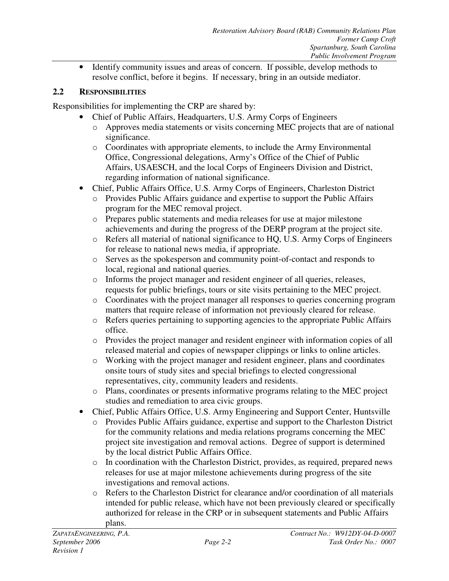• Identify community issues and areas of concern. If possible, develop methods to resolve conflict, before it begins. If necessary, bring in an outside mediator.

### **2.2 RESPONSIBILITIES**

Responsibilities for implementing the CRP are shared by:

- Chief of Public Affairs, Headquarters, U.S. Army Corps of Engineers
	- o Approves media statements or visits concerning MEC projects that are of national significance.
	- o Coordinates with appropriate elements, to include the Army Environmental Office, Congressional delegations, Army's Office of the Chief of Public Affairs, USAESCH, and the local Corps of Engineers Division and District, regarding information of national significance.
- Chief, Public Affairs Office, U.S. Army Corps of Engineers, Charleston District
	- o Provides Public Affairs guidance and expertise to support the Public Affairs program for the MEC removal project.
	- o Prepares public statements and media releases for use at major milestone achievements and during the progress of the DERP program at the project site.
	- o Refers all material of national significance to HQ, U.S. Army Corps of Engineers for release to national news media, if appropriate.
	- o Serves as the spokesperson and community point-of-contact and responds to local, regional and national queries.
	- o Informs the project manager and resident engineer of all queries, releases, requests for public briefings, tours or site visits pertaining to the MEC project.
	- o Coordinates with the project manager all responses to queries concerning program matters that require release of information not previously cleared for release.
	- o Refers queries pertaining to supporting agencies to the appropriate Public Affairs office.
	- o Provides the project manager and resident engineer with information copies of all released material and copies of newspaper clippings or links to online articles.
	- o Working with the project manager and resident engineer, plans and coordinates onsite tours of study sites and special briefings to elected congressional representatives, city, community leaders and residents.
	- o Plans, coordinates or presents informative programs relating to the MEC project studies and remediation to area civic groups.
- Chief, Public Affairs Office, U.S. Army Engineering and Support Center, Huntsville
	- o Provides Public Affairs guidance, expertise and support to the Charleston District for the community relations and media relations programs concerning the MEC project site investigation and removal actions. Degree of support is determined by the local district Public Affairs Office.
	- o In coordination with the Charleston District, provides, as required, prepared news releases for use at major milestone achievements during progress of the site investigations and removal actions.
	- o Refers to the Charleston District for clearance and/or coordination of all materials intended for public release, which have not been previously cleared or specifically authorized for release in the CRP or in subsequent statements and Public Affairs plans.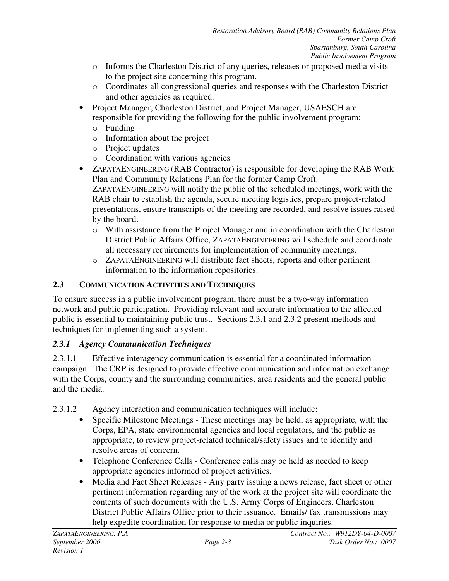- o Informs the Charleston District of any queries, releases or proposed media visits to the project site concerning this program.
- o Coordinates all congressional queries and responses with the Charleston District and other agencies as required.
- Project Manager, Charleston District, and Project Manager, USAESCH are responsible for providing the following for the public involvement program:
	- o Funding
	- o Information about the project
	- o Project updates
	- o Coordination with various agencies
- ZAPATAENGINEERING (RAB Contractor) is responsible for developing the RAB Work Plan and Community Relations Plan for the former Camp Croft. ZAPATAENGINEERING will notify the public of the scheduled meetings, work with the RAB chair to establish the agenda, secure meeting logistics, prepare project-related presentations, ensure transcripts of the meeting are recorded, and resolve issues raised by the board.
	- o With assistance from the Project Manager and in coordination with the Charleston District Public Affairs Office, ZAPATAENGINEERING will schedule and coordinate all necessary requirements for implementation of community meetings.
	- o ZAPATAENGINEERING will distribute fact sheets, reports and other pertinent information to the information repositories.

# **2.3 COMMUNICATION ACTIVITIES AND TECHNIQUES**

To ensure success in a public involvement program, there must be a two-way information network and public participation. Providing relevant and accurate information to the affected public is essential to maintaining public trust. Sections 2.3.1 and 2.3.2 present methods and techniques for implementing such a system.

# *2.3.1 Agency Communication Techniques*

2.3.1.1 Effective interagency communication is essential for a coordinated information campaign. The CRP is designed to provide effective communication and information exchange with the Corps, county and the surrounding communities, area residents and the general public and the media.

2.3.1.2 Agency interaction and communication techniques will include:

- Specific Milestone Meetings These meetings may be held, as appropriate, with the Corps, EPA, state environmental agencies and local regulators, and the public as appropriate, to review project-related technical/safety issues and to identify and resolve areas of concern.
- Telephone Conference Calls Conference calls may be held as needed to keep appropriate agencies informed of project activities.
- Media and Fact Sheet Releases Any party issuing a news release, fact sheet or other pertinent information regarding any of the work at the project site will coordinate the contents of such documents with the U.S. Army Corps of Engineers, Charleston District Public Affairs Office prior to their issuance. Emails/ fax transmissions may help expedite coordination for response to media or public inquiries.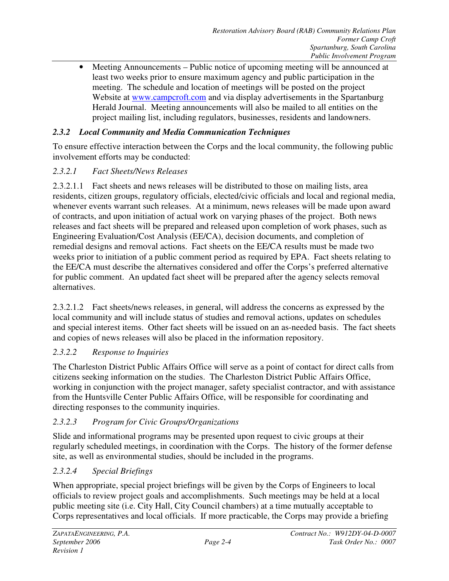• Meeting Announcements – Public notice of upcoming meeting will be announced at least two weeks prior to ensure maximum agency and public participation in the meeting. The schedule and location of meetings will be posted on the project Website at www.campcroft.com and via display advertisements in the Spartanburg Herald Journal. Meeting announcements will also be mailed to all entities on the project mailing list, including regulators, businesses, residents and landowners.

# *2.3.2 Local Community and Media Communication Techniques*

To ensure effective interaction between the Corps and the local community, the following public involvement efforts may be conducted:

#### *2.3.2.1 Fact Sheets/News Releases*

2.3.2.1.1 Fact sheets and news releases will be distributed to those on mailing lists, area residents, citizen groups, regulatory officials, elected/civic officials and local and regional media, whenever events warrant such releases. At a minimum, news releases will be made upon award of contracts, and upon initiation of actual work on varying phases of the project. Both news releases and fact sheets will be prepared and released upon completion of work phases, such as Engineering Evaluation/Cost Analysis (EE/CA), decision documents, and completion of remedial designs and removal actions. Fact sheets on the EE/CA results must be made two weeks prior to initiation of a public comment period as required by EPA. Fact sheets relating to the EE/CA must describe the alternatives considered and offer the Corps's preferred alternative for public comment. An updated fact sheet will be prepared after the agency selects removal alternatives.

2.3.2.1.2 Fact sheets/news releases, in general, will address the concerns as expressed by the local community and will include status of studies and removal actions, updates on schedules and special interest items. Other fact sheets will be issued on an as-needed basis. The fact sheets and copies of news releases will also be placed in the information repository.

#### *2.3.2.2 Response to Inquiries*

The Charleston District Public Affairs Office will serve as a point of contact for direct calls from citizens seeking information on the studies. The Charleston District Public Affairs Office, working in conjunction with the project manager, safety specialist contractor, and with assistance from the Huntsville Center Public Affairs Office, will be responsible for coordinating and directing responses to the community inquiries.

# *2.3.2.3 Program for Civic Groups/Organizations*

Slide and informational programs may be presented upon request to civic groups at their regularly scheduled meetings, in coordination with the Corps. The history of the former defense site, as well as environmental studies, should be included in the programs.

# *2.3.2.4 Special Briefings*

When appropriate, special project briefings will be given by the Corps of Engineers to local officials to review project goals and accomplishments. Such meetings may be held at a local public meeting site (i.e. City Hall, City Council chambers) at a time mutually acceptable to Corps representatives and local officials. If more practicable, the Corps may provide a briefing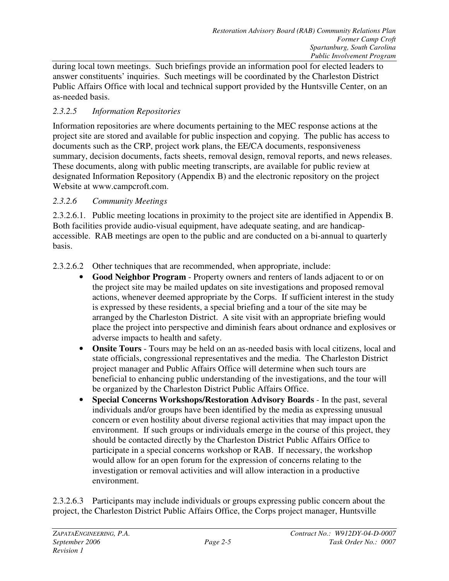during local town meetings. Such briefings provide an information pool for elected leaders to answer constituents' inquiries. Such meetings will be coordinated by the Charleston District Public Affairs Office with local and technical support provided by the Huntsville Center, on an as-needed basis.

# *2.3.2.5 Information Repositories*

Information repositories are where documents pertaining to the MEC response actions at the project site are stored and available for public inspection and copying. The public has access to documents such as the CRP, project work plans, the EE/CA documents, responsiveness summary, decision documents, facts sheets, removal design, removal reports, and news releases. These documents, along with public meeting transcripts, are available for public review at designated Information Repository (Appendix B) and the electronic repository on the project Website at www.campcroft.com.

# *2.3.2.6 Community Meetings*

2.3.2.6.1. Public meeting locations in proximity to the project site are identified in Appendix B. Both facilities provide audio-visual equipment, have adequate seating, and are handicapaccessible. RAB meetings are open to the public and are conducted on a bi-annual to quarterly basis.

2.3.2.6.2 Other techniques that are recommended, when appropriate, include:

- **Good Neighbor Program** Property owners and renters of lands adjacent to or on the project site may be mailed updates on site investigations and proposed removal actions, whenever deemed appropriate by the Corps. If sufficient interest in the study is expressed by these residents, a special briefing and a tour of the site may be arranged by the Charleston District. A site visit with an appropriate briefing would place the project into perspective and diminish fears about ordnance and explosives or adverse impacts to health and safety.
- **Onsite Tours** Tours may be held on an as-needed basis with local citizens, local and state officials, congressional representatives and the media. The Charleston District project manager and Public Affairs Office will determine when such tours are beneficial to enhancing public understanding of the investigations, and the tour will be organized by the Charleston District Public Affairs Office.
- **Special Concerns Workshops/Restoration Advisory Boards** In the past, several individuals and/or groups have been identified by the media as expressing unusual concern or even hostility about diverse regional activities that may impact upon the environment. If such groups or individuals emerge in the course of this project, they should be contacted directly by the Charleston District Public Affairs Office to participate in a special concerns workshop or RAB. If necessary, the workshop would allow for an open forum for the expression of concerns relating to the investigation or removal activities and will allow interaction in a productive environment.

2.3.2.6.3 Participants may include individuals or groups expressing public concern about the project, the Charleston District Public Affairs Office, the Corps project manager, Huntsville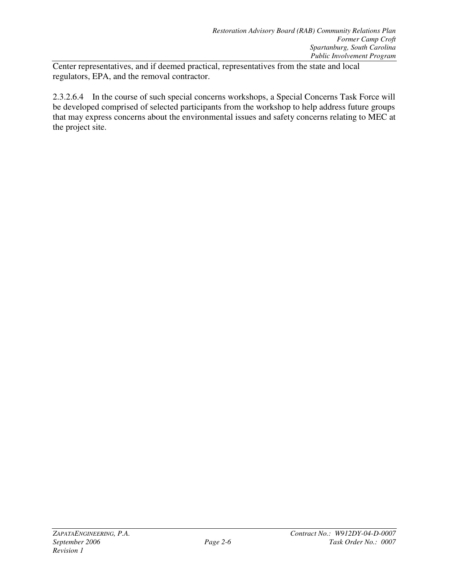Center representatives, and if deemed practical, representatives from the state and local regulators, EPA, and the removal contractor.

2.3.2.6.4 In the course of such special concerns workshops, a Special Concerns Task Force will be developed comprised of selected participants from the workshop to help address future groups that may express concerns about the environmental issues and safety concerns relating to MEC at the project site.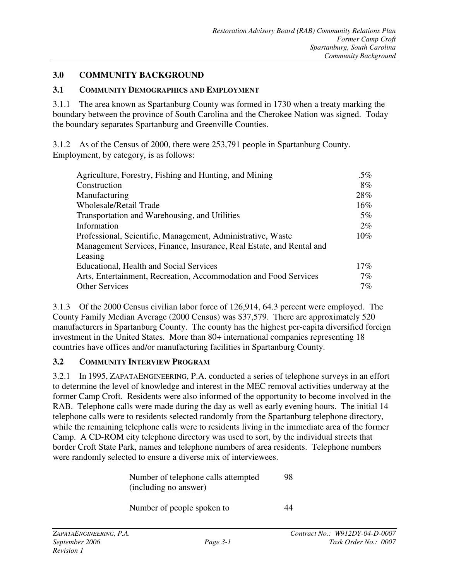#### **3.0 COMMUNITY BACKGROUND**

#### **3.1 COMMUNITY DEMOGRAPHICS AND EMPLOYMENT**

3.1.1 The area known as Spartanburg County was formed in 1730 when a treaty marking the boundary between the province of South Carolina and the Cherokee Nation was signed. Today the boundary separates Spartanburg and Greenville Counties.

3.1.2 As of the Census of 2000, there were 253,791 people in Spartanburg County. Employment, by category, is as follows:

| Agriculture, Forestry, Fishing and Hunting, and Mining               |        |
|----------------------------------------------------------------------|--------|
| Construction                                                         | $8\%$  |
| Manufacturing                                                        | 28%    |
| <b>Wholesale/Retail Trade</b>                                        | $16\%$ |
| Transportation and Warehousing, and Utilities                        | $5\%$  |
| Information                                                          | $2\%$  |
| Professional, Scientific, Management, Administrative, Waste          |        |
| Management Services, Finance, Insurance, Real Estate, and Rental and |        |
| Leasing                                                              |        |
| Educational, Health and Social Services                              |        |
| Arts, Entertainment, Recreation, Accommodation and Food Services     |        |
| <b>Other Services</b>                                                |        |

3.1.3 Of the 2000 Census civilian labor force of 126,914, 64.3 percent were employed. The County Family Median Average (2000 Census) was \$37,579. There are approximately 520 manufacturers in Spartanburg County. The county has the highest per-capita diversified foreign investment in the United States. More than 80+ international companies representing 18 countries have offices and/or manufacturing facilities in Spartanburg County.

#### **3.2 COMMUNITY INTERVIEW PROGRAM**

3.2.1 In 1995, ZAPATAENGINEERING, P.A. conducted a series of telephone surveys in an effort to determine the level of knowledge and interest in the MEC removal activities underway at the former Camp Croft. Residents were also informed of the opportunity to become involved in the RAB. Telephone calls were made during the day as well as early evening hours. The initial 14 telephone calls were to residents selected randomly from the Spartanburg telephone directory, while the remaining telephone calls were to residents living in the immediate area of the former Camp. A CD-ROM city telephone directory was used to sort, by the individual streets that border Croft State Park, names and telephone numbers of area residents. Telephone numbers were randomly selected to ensure a diverse mix of interviewees.

| Number of telephone calls attempted<br>(including no answer) |    |
|--------------------------------------------------------------|----|
| Number of people spoken to                                   | 44 |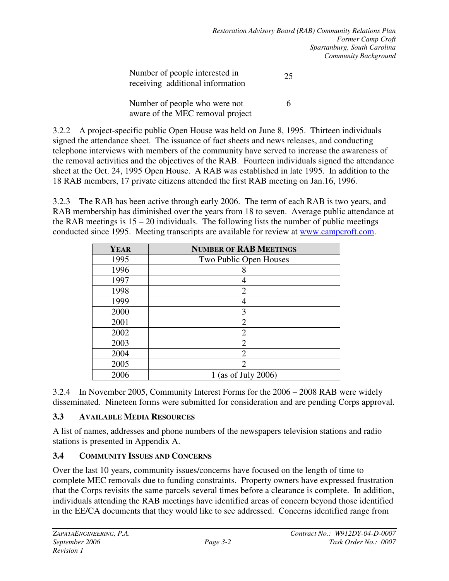| Number of people interested in<br>receiving additional information | 25 |
|--------------------------------------------------------------------|----|
| Number of people who were not<br>aware of the MEC removal project  | 6  |

3.2.2 A project-specific public Open House was held on June 8, 1995. Thirteen individuals signed the attendance sheet. The issuance of fact sheets and news releases, and conducting telephone interviews with members of the community have served to increase the awareness of the removal activities and the objectives of the RAB. Fourteen individuals signed the attendance sheet at the Oct. 24, 1995 Open House. A RAB was established in late 1995. In addition to the 18 RAB members, 17 private citizens attended the first RAB meeting on Jan.16, 1996.

3.2.3 The RAB has been active through early 2006. The term of each RAB is two years, and RAB membership has diminished over the years from 18 to seven. Average public attendance at the RAB meetings is  $15 - 20$  individuals. The following lists the number of public meetings conducted since 1995. Meeting transcripts are available for review at www.campcroft.com.

| <b>YEAR</b> | <b>NUMBER OF RAB MEETINGS</b> |
|-------------|-------------------------------|
| 1995        | Two Public Open Houses        |
| 1996        | 8                             |
| 1997        | 4                             |
| 1998        | $\overline{2}$                |
| 1999        |                               |
| 2000        | 3                             |
| 2001        | $\overline{2}$                |
| 2002        | $\overline{2}$                |
| 2003        | $\overline{2}$                |
| 2004        | $\overline{2}$                |
| 2005        | 2                             |
| 2006        | 1 (as of July 2006)           |

3.2.4 In November 2005, Community Interest Forms for the 2006 – 2008 RAB were widely disseminated. Nineteen forms were submitted for consideration and are pending Corps approval.

# **3.3 AVAILABLE MEDIA RESOURCES**

A list of names, addresses and phone numbers of the newspapers television stations and radio stations is presented in Appendix A.

#### **3.4 COMMUNITY ISSUES AND CONCERNS**

Over the last 10 years, community issues/concerns have focused on the length of time to complete MEC removals due to funding constraints. Property owners have expressed frustration that the Corps revisits the same parcels several times before a clearance is complete. In addition, individuals attending the RAB meetings have identified areas of concern beyond those identified in the EE/CA documents that they would like to see addressed. Concerns identified range from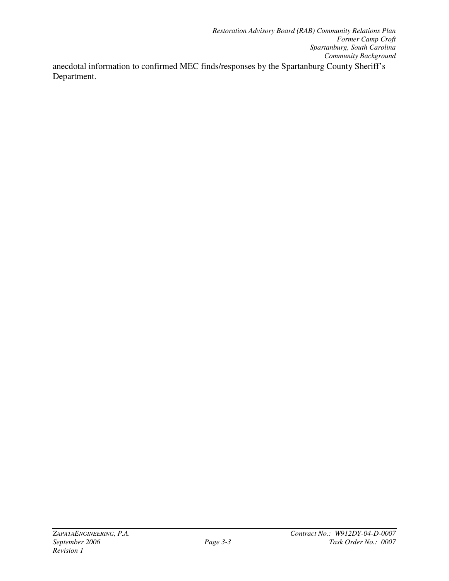anecdotal information to confirmed MEC finds/responses by the Spartanburg County Sheriff's Department.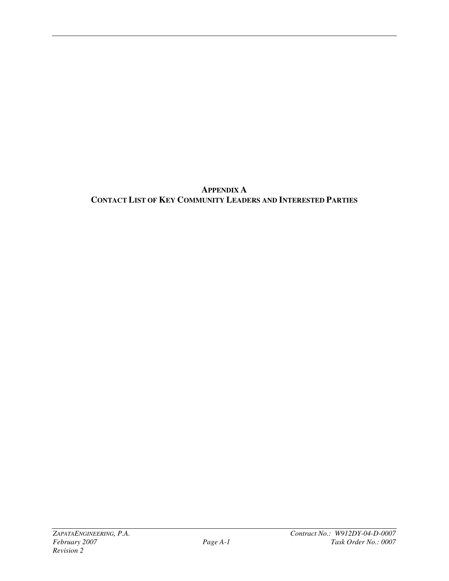**APPENDIX A CONTACT LIST OF KEY COMMUNITY LEADERS AND INTERESTED PARTIES**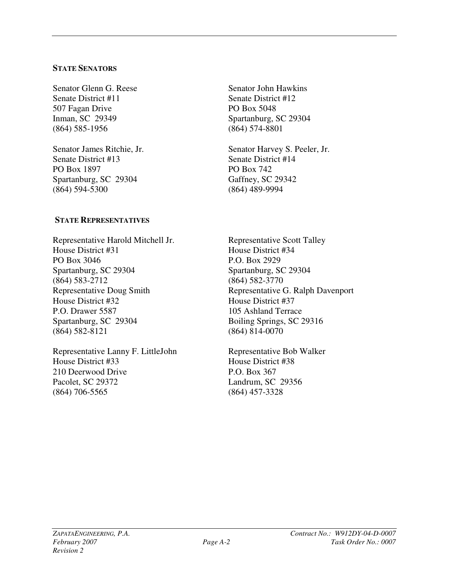#### **STATE SENATORS**

Senator Glenn G. Reese Senate District #11 507 Fagan Drive Inman, SC 29349 (864) 585-1956

Senator James Ritchie, Jr. Senate District #13 PO Box 1897 Spartanburg, SC 29304 (864) 594-5300

#### **STATE REPRESENTATIVES**

Representative Harold Mitchell Jr. House District #31 PO Box 3046 Spartanburg, SC 29304 (864) 583-2712 Representative Doug Smith House District #32 P.O. Drawer 5587 Spartanburg, SC 29304 (864) 582-8121

Representative Lanny F. LittleJohn House District #33 210 Deerwood Drive Pacolet, SC 29372 (864) 706-5565

Senator John Hawkins Senate District #12 PO Box 5048 Spartanburg, SC 29304 (864) 574-8801

Senator Harvey S. Peeler, Jr. Senate District #14 PO Box 742 Gaffney, SC 29342 (864) 489-9994

Representative Scott Talley House District #34 P.O. Box 2929 Spartanburg, SC 29304 (864) 582-3770 Representative G. Ralph Davenport House District #37 105 Ashland Terrace Boiling Springs, SC 29316 (864) 814-0070

Representative Bob Walker House District #38 P.O. Box 367 Landrum, SC 29356 (864) 457-3328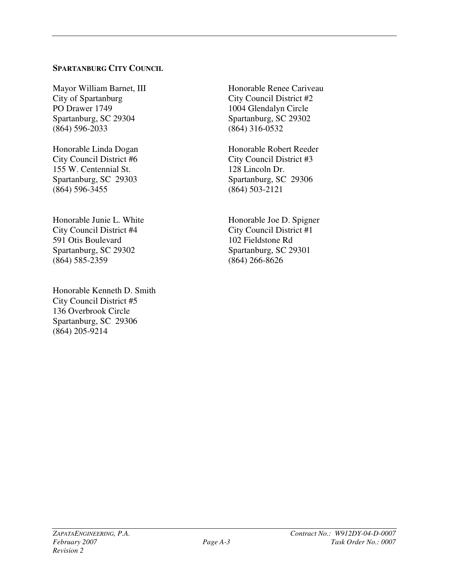#### **SPARTANBURG CITY COUNCIL**

Mayor William Barnet, III City of Spartanburg PO Drawer 1749 Spartanburg, SC 29304 (864) 596-2033

Honorable Linda Dogan City Council District #6 155 W. Centennial St. Spartanburg, SC 29303 (864) 596-3455

Honorable Junie L. White City Council District #4 591 Otis Boulevard Spartanburg, SC 29302 (864) 585-2359

Honorable Kenneth D. Smith City Council District #5 136 Overbrook Circle Spartanburg, SC 29306 (864) 205-9214

Honorable Renee Cariveau City Council District #2 1004 Glendalyn Circle Spartanburg, SC 29302 (864) 316-0532

Honorable Robert Reeder City Council District #3 128 Lincoln Dr. Spartanburg, SC 29306 (864) 503-2121

Honorable Joe D. Spigner City Council District #1 102 Fieldstone Rd Spartanburg, SC 29301 (864) 266-8626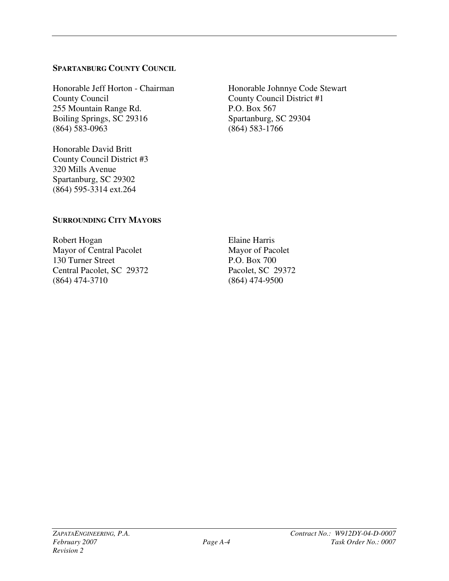#### **SPARTANBURG COUNTY COUNCIL**

Honorable Jeff Horton - Chairman County Council 255 Mountain Range Rd. Boiling Springs, SC 29316 (864) 583-0963

Honorable David Britt County Council District #3 320 Mills Avenue Spartanburg, SC 29302 (864) 595-3314 ext.264

Honorable Johnnye Code Stewart County Council District #1 P.O. Box 567 Spartanburg, SC 29304 (864) 583-1766

# **SURROUNDING CITY MAYORS**

Robert Hogan Mayor of Central Pacolet 130 Turner Street Central Pacolet, SC 29372 (864) 474-3710

Elaine Harris Mayor of Pacolet P.O. Box 700 Pacolet, SC 29372 (864) 474-9500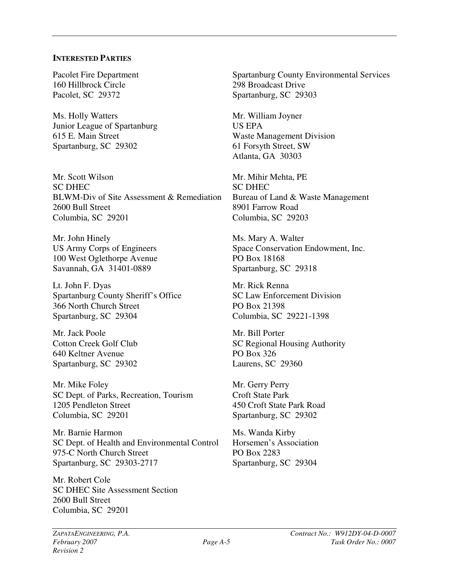#### **INTERESTED PARTIES**

Pacolet Fire Department 160 Hillbrock Circle Pacolet, SC 29372

Ms. Holly Watters Junior League of Spartanburg 615 E. Main Street Spartanburg, SC 29302

Mr. Scott Wilson SC DHEC BLWM-Div of Site Assessment & Remediation 2600 Bull Street Columbia, SC 29201

Mr. John Hinely US Army Corps of Engineers 100 West Oglethorpe Avenue Savannah, GA 31401-0889

Lt. John F. Dyas Spartanburg County Sheriff's Office 366 North Church Street Spartanburg, SC 29304

Mr. Jack Poole Cotton Creek Golf Club 640 Keltner Avenue Spartanburg, SC 29302

Mr. Mike Foley SC Dept. of Parks, Recreation, Tourism 1205 Pendleton Street Columbia, SC 29201

Mr. Barnie Harmon SC Dept. of Health and Environmental Control 975-C North Church Street Spartanburg, SC 29303-2717

Mr. Robert Cole SC DHEC Site Assessment Section 2600 Bull Street Columbia, SC 29201

Spartanburg County Environmental Services 298 Broadcast Drive Spartanburg, SC 29303

Mr. William Joyner US EPA Waste Management Division 61 Forsyth Street, SW Atlanta, GA 30303

Mr. Mihir Mehta, PE SC DHEC Bureau of Land & Waste Management 8901 Farrow Road Columbia, SC 29203

Ms. Mary A. Walter Space Conservation Endowment, Inc. PO Box 18168 Spartanburg, SC 29318

Mr. Rick Renna SC Law Enforcement Division PO Box 21398 Columbia, SC 29221-1398

Mr. Bill Porter SC Regional Housing Authority PO Box 326 Laurens, SC 29360

Mr. Gerry Perry Croft State Park 450 Croft State Park Road Spartanburg, SC 29302

Ms. Wanda Kirby Horsemen's Association PO Box 2283 Spartanburg, SC 29304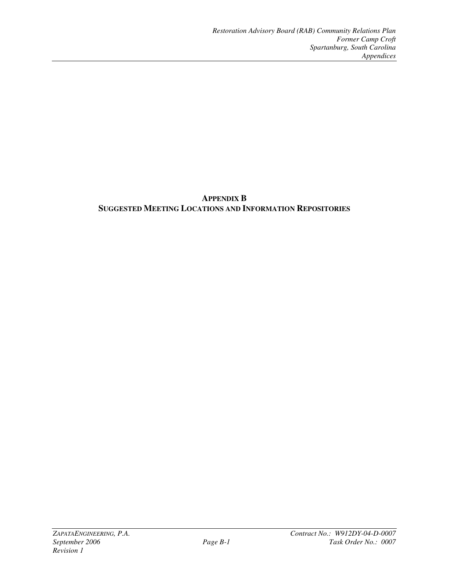# **APPENDIX B SUGGESTED MEETING LOCATIONS AND INFORMATION REPOSITORIES**